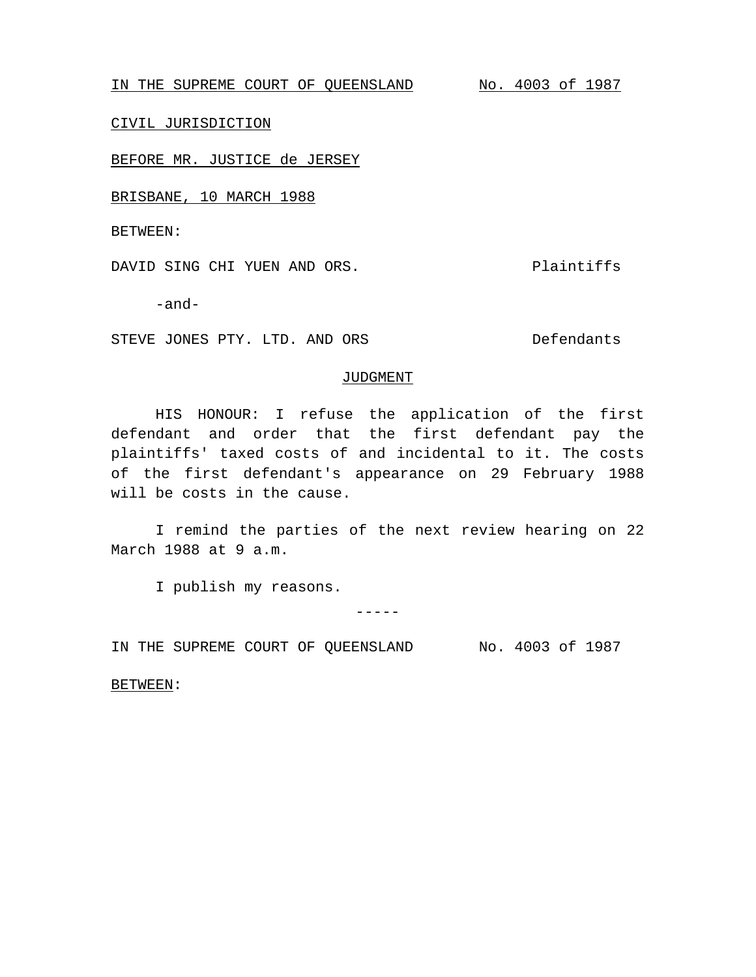IN THE SUPREME COURT OF QUEENSLAND No. 4003 of 1987

CIVIL JURISDICTION

BEFORE MR. JUSTICE de JERSEY

BRISBANE, 10 MARCH 1988

BETWEEN:

DAVID SING CHI YUEN AND ORS. The plaintiffs

-and-

STEVE JONES PTY. LTD. AND ORS Defendants

## JUDGMENT

HIS HONOUR: I refuse the application of the first defendant and order that the first defendant pay the plaintiffs' taxed costs of and incidental to it. The costs of the first defendant's appearance on 29 February 1988 will be costs in the cause.

I remind the parties of the next review hearing on 22 March 1988 at 9 a.m.

I publish my reasons.

 $-----$ 

IN THE SUPREME COURT OF QUEENSLAND No. 4003 of 1987

BETWEEN: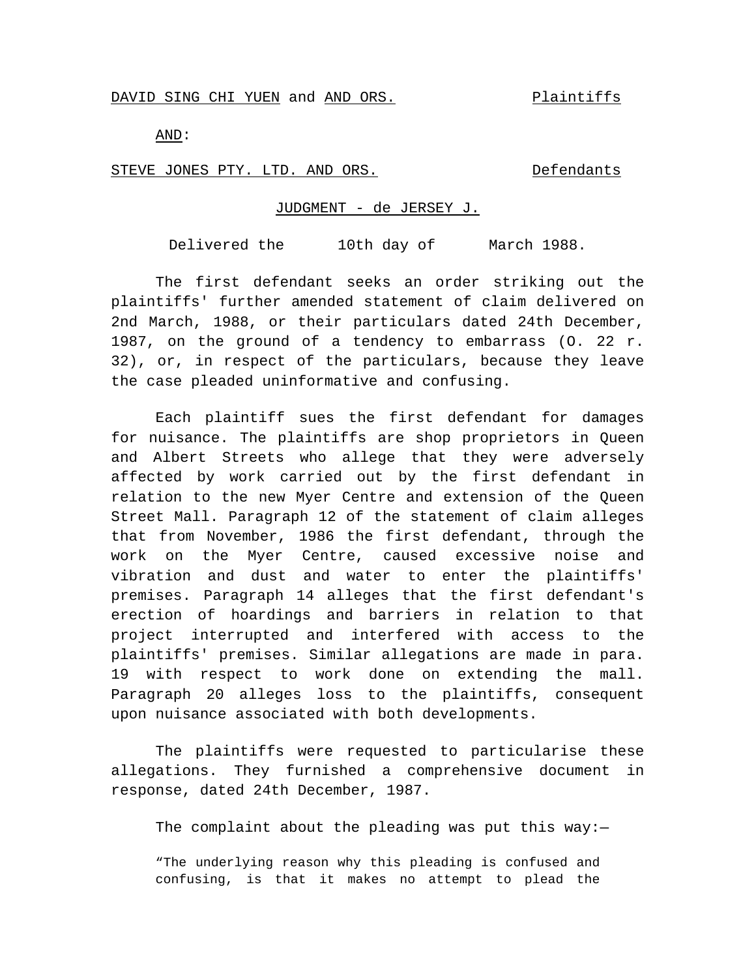AND:

STEVE JONES PTY. LTD. AND ORS. Defendants

## JUDGMENT - de JERSEY J.

Delivered the 10th day of March 1988.

The first defendant seeks an order striking out the plaintiffs' further amended statement of claim delivered on 2nd March, 1988, or their particulars dated 24th December, 1987, on the ground of a tendency to embarrass (O. 22 r. 32), or, in respect of the particulars, because they leave the case pleaded uninformative and confusing.

Each plaintiff sues the first defendant for damages for nuisance. The plaintiffs are shop proprietors in Queen and Albert Streets who allege that they were adversely affected by work carried out by the first defendant in relation to the new Myer Centre and extension of the Queen Street Mall. Paragraph 12 of the statement of claim alleges that from November, 1986 the first defendant, through the work on the Myer Centre, caused excessive noise and vibration and dust and water to enter the plaintiffs' premises. Paragraph 14 alleges that the first defendant's erection of hoardings and barriers in relation to that project interrupted and interfered with access to the plaintiffs' premises. Similar allegations are made in para. 19 with respect to work done on extending the mall. Paragraph 20 alleges loss to the plaintiffs, consequent upon nuisance associated with both developments.

The plaintiffs were requested to particularise these allegations. They furnished a comprehensive document in response, dated 24th December, 1987.

The complaint about the pleading was put this way: $-$ 

"The underlying reason why this pleading is confused and confusing, is that it makes no attempt to plead the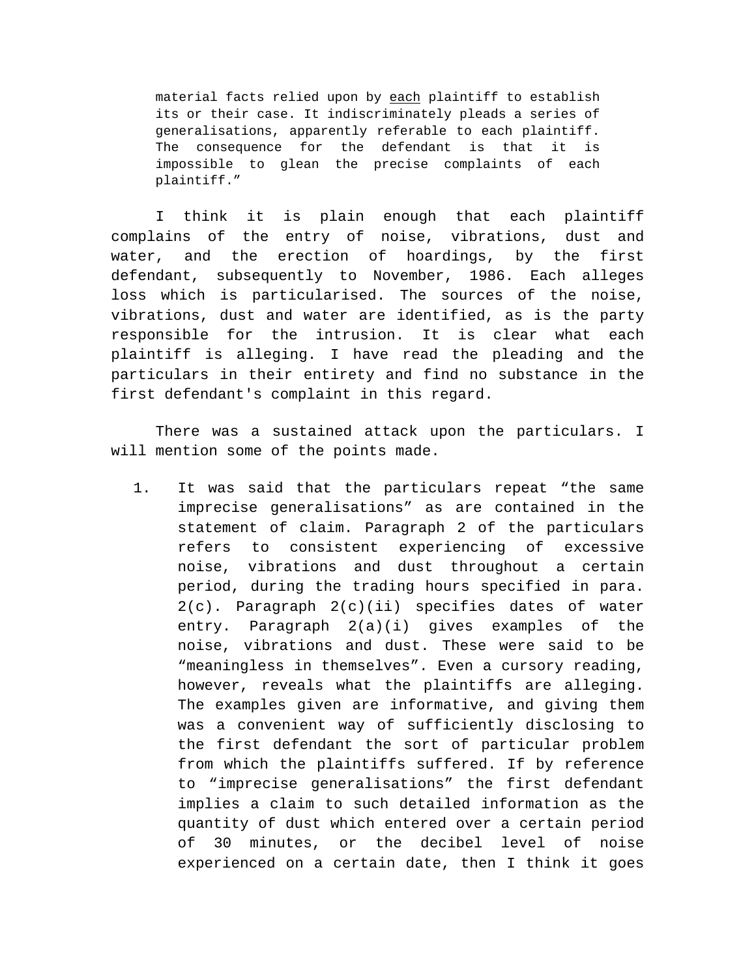material facts relied upon by each plaintiff to establish its or their case. It indiscriminately pleads a series of generalisations, apparently referable to each plaintiff. The consequence for the defendant is that it is impossible to glean the precise complaints of each plaintiff."

I think it is plain enough that each plaintiff complains of the entry of noise, vibrations, dust and water, and the erection of hoardings, by the first defendant, subsequently to November, 1986. Each alleges loss which is particularised. The sources of the noise, vibrations, dust and water are identified, as is the party responsible for the intrusion. It is clear what each plaintiff is alleging. I have read the pleading and the particulars in their entirety and find no substance in the first defendant's complaint in this regard.

There was a sustained attack upon the particulars. I will mention some of the points made.

1. It was said that the particulars repeat "the same imprecise generalisations" as are contained in the statement of claim. Paragraph 2 of the particulars refers to consistent experiencing of excessive noise, vibrations and dust throughout a certain period, during the trading hours specified in para. 2(c). Paragraph 2(c)(ii) specifies dates of water entry. Paragraph 2(a)(i) gives examples of the noise, vibrations and dust. These were said to be "meaningless in themselves". Even a cursory reading, however, reveals what the plaintiffs are alleging. The examples given are informative, and giving them was a convenient way of sufficiently disclosing to the first defendant the sort of particular problem from which the plaintiffs suffered. If by reference to "imprecise generalisations" the first defendant implies a claim to such detailed information as the quantity of dust which entered over a certain period of 30 minutes, or the decibel level of noise experienced on a certain date, then I think it goes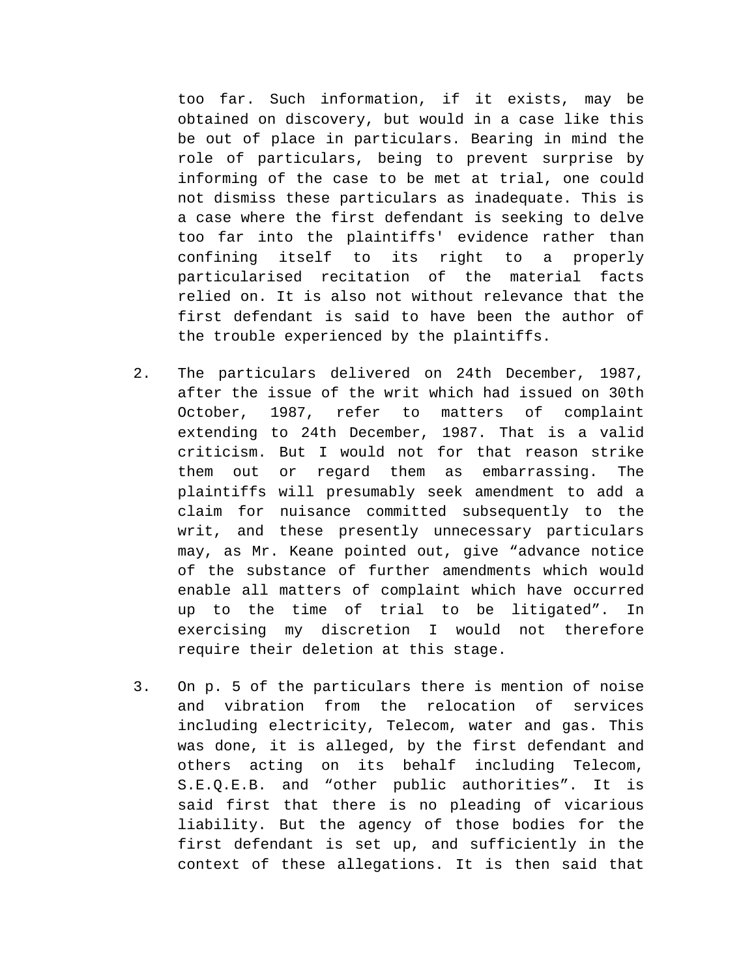too far. Such information, if it exists, may be obtained on discovery, but would in a case like this be out of place in particulars. Bearing in mind the role of particulars, being to prevent surprise by informing of the case to be met at trial, one could not dismiss these particulars as inadequate. This is a case where the first defendant is seeking to delve too far into the plaintiffs' evidence rather than confining itself to its right to a properly particularised recitation of the material facts relied on. It is also not without relevance that the first defendant is said to have been the author of the trouble experienced by the plaintiffs.

- 2. The particulars delivered on 24th December, 1987, after the issue of the writ which had issued on 30th October, 1987, refer to matters of complaint extending to 24th December, 1987. That is a valid criticism. But I would not for that reason strike them out or regard them as embarrassing. The plaintiffs will presumably seek amendment to add a claim for nuisance committed subsequently to the writ, and these presently unnecessary particulars may, as Mr. Keane pointed out, give "advance notice of the substance of further amendments which would enable all matters of complaint which have occurred up to the time of trial to be litigated". In exercising my discretion I would not therefore require their deletion at this stage.
- 3. On p. 5 of the particulars there is mention of noise and vibration from the relocation of services including electricity, Telecom, water and gas. This was done, it is alleged, by the first defendant and others acting on its behalf including Telecom, S.E.Q.E.B. and "other public authorities". It is said first that there is no pleading of vicarious liability. But the agency of those bodies for the first defendant is set up, and sufficiently in the context of these allegations. It is then said that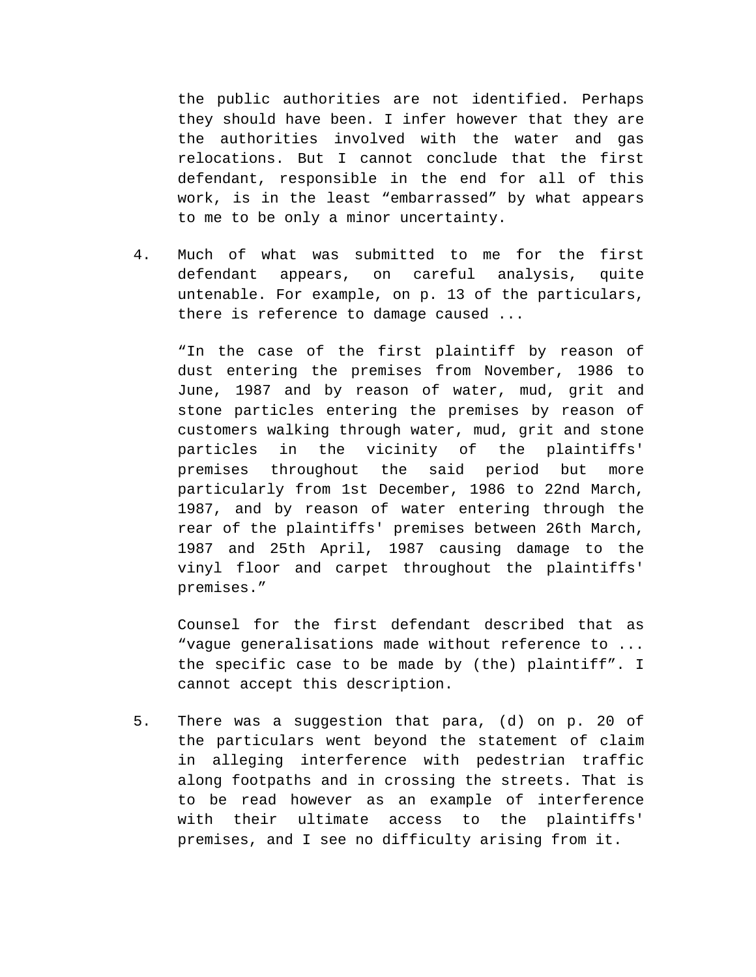the public authorities are not identified. Perhaps they should have been. I infer however that they are the authorities involved with the water and gas relocations. But I cannot conclude that the first defendant, responsible in the end for all of this work, is in the least "embarrassed" by what appears to me to be only a minor uncertainty.

4. Much of what was submitted to me for the first defendant appears, on careful analysis, quite untenable. For example, on p. 13 of the particulars, there is reference to damage caused ...

"In the case of the first plaintiff by reason of dust entering the premises from November, 1986 to June, 1987 and by reason of water, mud, grit and stone particles entering the premises by reason of customers walking through water, mud, grit and stone particles in the vicinity of the plaintiffs' premises throughout the said period but more particularly from 1st December, 1986 to 22nd March, 1987, and by reason of water entering through the rear of the plaintiffs' premises between 26th March, 1987 and 25th April, 1987 causing damage to the vinyl floor and carpet throughout the plaintiffs' premises."

Counsel for the first defendant described that as "vague generalisations made without reference to ... the specific case to be made by (the) plaintiff". I cannot accept this description.

5. There was a suggestion that para, (d) on p. 20 of the particulars went beyond the statement of claim in alleging interference with pedestrian traffic along footpaths and in crossing the streets. That is to be read however as an example of interference with their ultimate access to the plaintiffs' premises, and I see no difficulty arising from it.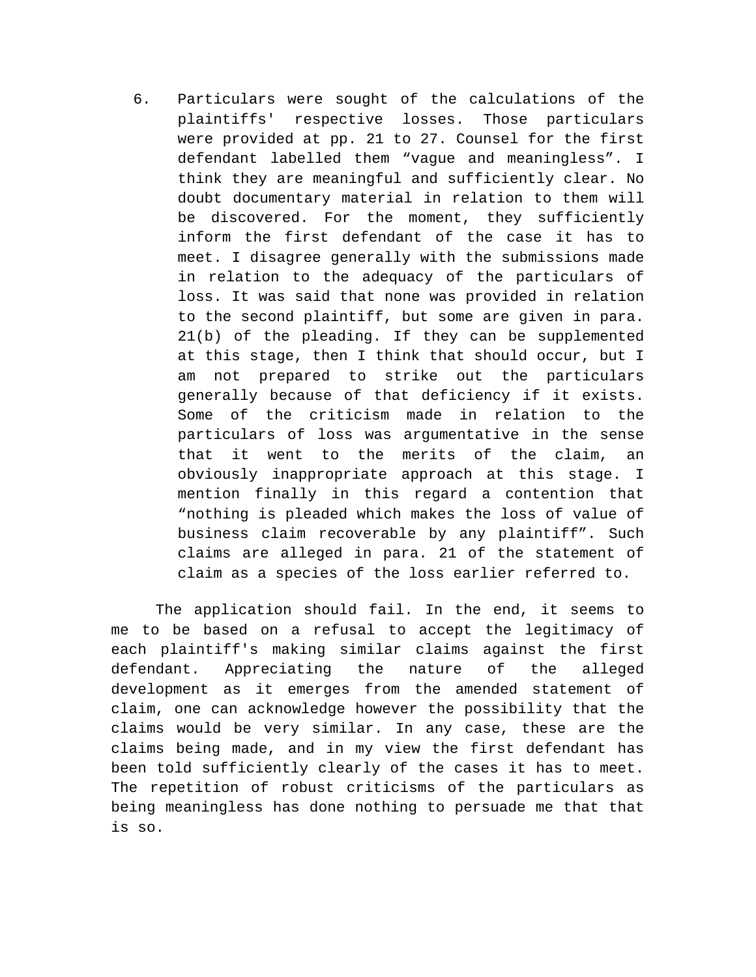6. Particulars were sought of the calculations of the plaintiffs' respective losses. Those particulars were provided at pp. 21 to 27. Counsel for the first defendant labelled them "vague and meaningless". I think they are meaningful and sufficiently clear. No doubt documentary material in relation to them will be discovered. For the moment, they sufficiently inform the first defendant of the case it has to meet. I disagree generally with the submissions made in relation to the adequacy of the particulars of loss. It was said that none was provided in relation to the second plaintiff, but some are given in para. 21(b) of the pleading. If they can be supplemented at this stage, then I think that should occur, but I am not prepared to strike out the particulars generally because of that deficiency if it exists. Some of the criticism made in relation to the particulars of loss was argumentative in the sense that it went to the merits of the claim, an obviously inappropriate approach at this stage. I mention finally in this regard a contention that "nothing is pleaded which makes the loss of value of business claim recoverable by any plaintiff". Such claims are alleged in para. 21 of the statement of claim as a species of the loss earlier referred to.

The application should fail. In the end, it seems to me to be based on a refusal to accept the legitimacy of each plaintiff's making similar claims against the first defendant. Appreciating the nature of the alleged development as it emerges from the amended statement of claim, one can acknowledge however the possibility that the claims would be very similar. In any case, these are the claims being made, and in my view the first defendant has been told sufficiently clearly of the cases it has to meet. The repetition of robust criticisms of the particulars as being meaningless has done nothing to persuade me that that is so.